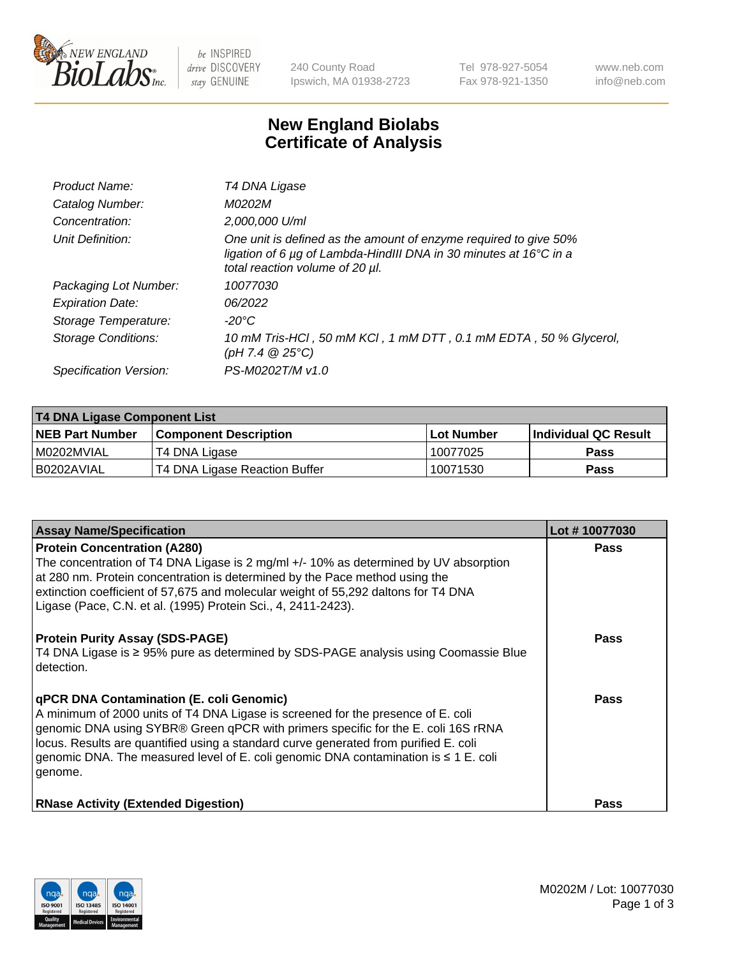

 $be$  INSPIRED drive DISCOVERY stay GENUINE

240 County Road Ipswich, MA 01938-2723 Tel 978-927-5054 Fax 978-921-1350 www.neb.com info@neb.com

## **New England Biolabs Certificate of Analysis**

| Product Name:           | T4 DNA Ligase                                                                                                                                                            |
|-------------------------|--------------------------------------------------------------------------------------------------------------------------------------------------------------------------|
| Catalog Number:         | M0202M                                                                                                                                                                   |
| Concentration:          | 2,000,000 U/ml                                                                                                                                                           |
| Unit Definition:        | One unit is defined as the amount of enzyme required to give 50%<br>ligation of 6 µg of Lambda-HindIII DNA in 30 minutes at 16°C in a<br>total reaction volume of 20 µl. |
| Packaging Lot Number:   | 10077030                                                                                                                                                                 |
| <b>Expiration Date:</b> | 06/2022                                                                                                                                                                  |
| Storage Temperature:    | $-20^{\circ}$ C                                                                                                                                                          |
| Storage Conditions:     | 10 mM Tris-HCl, 50 mM KCl, 1 mM DTT, 0.1 mM EDTA, 50 % Glycerol,<br>(pH 7.4 $@25°C$ )                                                                                    |
| Specification Version:  | PS-M0202T/M v1.0                                                                                                                                                         |

| T4 DNA Ligase Component List |                               |              |                             |  |
|------------------------------|-------------------------------|--------------|-----------------------------|--|
| <b>NEB Part Number</b>       | l Component Description       | l Lot Number | <b>Individual QC Result</b> |  |
| I M0202MVIAL                 | T4 DNA Ligase                 | 10077025     | <b>Pass</b>                 |  |
| I B0202AVIAL                 | T4 DNA Ligase Reaction Buffer | 10071530     | <b>Pass</b>                 |  |

| <b>Assay Name/Specification</b>                                                                                                                                                                                                                                                                                                                                                                                         | Lot #10077030 |
|-------------------------------------------------------------------------------------------------------------------------------------------------------------------------------------------------------------------------------------------------------------------------------------------------------------------------------------------------------------------------------------------------------------------------|---------------|
| <b>Protein Concentration (A280)</b><br>The concentration of T4 DNA Ligase is 2 mg/ml +/- 10% as determined by UV absorption<br>at 280 nm. Protein concentration is determined by the Pace method using the<br>extinction coefficient of 57,675 and molecular weight of 55,292 daltons for T4 DNA<br>Ligase (Pace, C.N. et al. (1995) Protein Sci., 4, 2411-2423).                                                       | <b>Pass</b>   |
| <b>Protein Purity Assay (SDS-PAGE)</b><br>T4 DNA Ligase is ≥ 95% pure as determined by SDS-PAGE analysis using Coomassie Blue<br>detection.                                                                                                                                                                                                                                                                             | Pass          |
| <b>qPCR DNA Contamination (E. coli Genomic)</b><br>A minimum of 2000 units of T4 DNA Ligase is screened for the presence of E. coli<br>genomic DNA using SYBR® Green qPCR with primers specific for the E. coli 16S rRNA<br>locus. Results are quantified using a standard curve generated from purified E. coli<br>genomic DNA. The measured level of E. coli genomic DNA contamination is $\leq 1$ E. coli<br>genome. | Pass          |
| <b>RNase Activity (Extended Digestion)</b>                                                                                                                                                                                                                                                                                                                                                                              | <b>Pass</b>   |

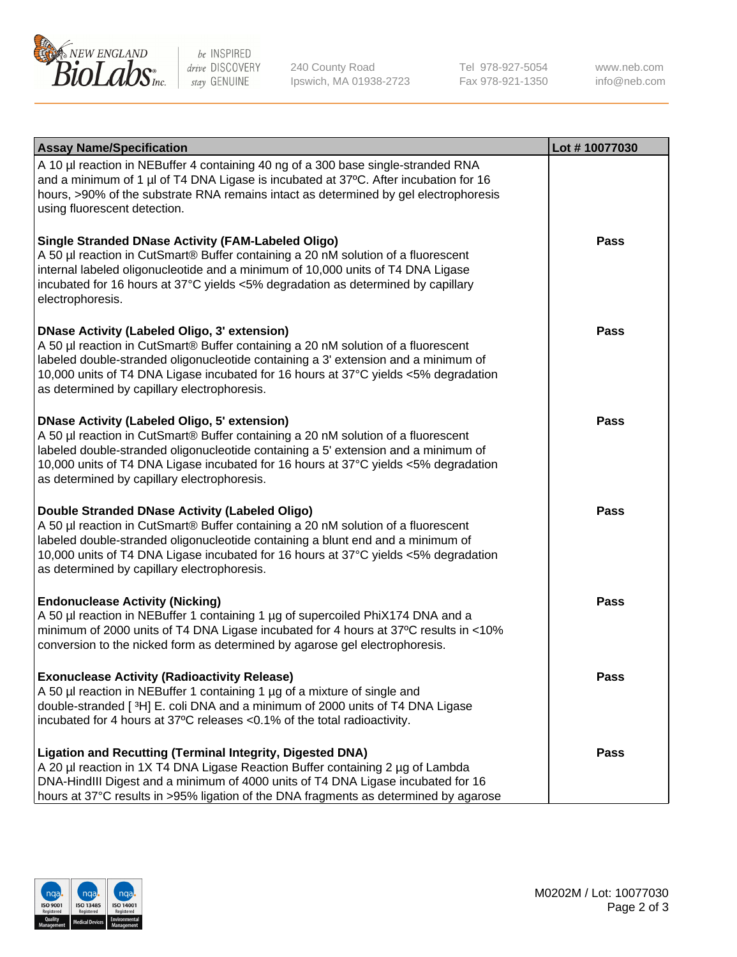

be INSPIRED drive DISCOVERY stay GENUINE

240 County Road Ipswich, MA 01938-2723 Tel 978-927-5054 Fax 978-921-1350

www.neb.com info@neb.com

| <b>Assay Name/Specification</b>                                                                                                                                                                                                                                                                                                                                      | Lot #10077030 |
|----------------------------------------------------------------------------------------------------------------------------------------------------------------------------------------------------------------------------------------------------------------------------------------------------------------------------------------------------------------------|---------------|
| A 10 µl reaction in NEBuffer 4 containing 40 ng of a 300 base single-stranded RNA<br>and a minimum of 1 µl of T4 DNA Ligase is incubated at 37°C. After incubation for 16<br>hours, >90% of the substrate RNA remains intact as determined by gel electrophoresis<br>using fluorescent detection.                                                                    |               |
| <b>Single Stranded DNase Activity (FAM-Labeled Oligo)</b><br>A 50 µl reaction in CutSmart® Buffer containing a 20 nM solution of a fluorescent<br>internal labeled oligonucleotide and a minimum of 10,000 units of T4 DNA Ligase<br>incubated for 16 hours at 37°C yields <5% degradation as determined by capillary<br>electrophoresis.                            | Pass          |
| <b>DNase Activity (Labeled Oligo, 3' extension)</b><br>A 50 µl reaction in CutSmart® Buffer containing a 20 nM solution of a fluorescent<br>labeled double-stranded oligonucleotide containing a 3' extension and a minimum of<br>10,000 units of T4 DNA Ligase incubated for 16 hours at 37°C yields <5% degradation<br>as determined by capillary electrophoresis. | <b>Pass</b>   |
| <b>DNase Activity (Labeled Oligo, 5' extension)</b><br>A 50 µl reaction in CutSmart® Buffer containing a 20 nM solution of a fluorescent<br>labeled double-stranded oligonucleotide containing a 5' extension and a minimum of<br>10,000 units of T4 DNA Ligase incubated for 16 hours at 37°C yields <5% degradation<br>as determined by capillary electrophoresis. | Pass          |
| Double Stranded DNase Activity (Labeled Oligo)<br>A 50 µl reaction in CutSmart® Buffer containing a 20 nM solution of a fluorescent<br>labeled double-stranded oligonucleotide containing a blunt end and a minimum of<br>10,000 units of T4 DNA Ligase incubated for 16 hours at 37°C yields <5% degradation<br>as determined by capillary electrophoresis.         | Pass          |
| <b>Endonuclease Activity (Nicking)</b><br>A 50 µl reaction in NEBuffer 1 containing 1 µg of supercoiled PhiX174 DNA and a<br>minimum of 2000 units of T4 DNA Ligase incubated for 4 hours at 37°C results in <10%<br>conversion to the nicked form as determined by agarose gel electrophoresis.                                                                     | <b>Pass</b>   |
| <b>Exonuclease Activity (Radioactivity Release)</b><br>A 50 µl reaction in NEBuffer 1 containing 1 µg of a mixture of single and<br>double-stranded [3H] E. coli DNA and a minimum of 2000 units of T4 DNA Ligase<br>incubated for 4 hours at 37°C releases <0.1% of the total radioactivity.                                                                        | Pass          |
| <b>Ligation and Recutting (Terminal Integrity, Digested DNA)</b><br>A 20 µl reaction in 1X T4 DNA Ligase Reaction Buffer containing 2 µg of Lambda<br>DNA-HindIII Digest and a minimum of 4000 units of T4 DNA Ligase incubated for 16<br>hours at 37°C results in >95% ligation of the DNA fragments as determined by agarose                                       | Pass          |